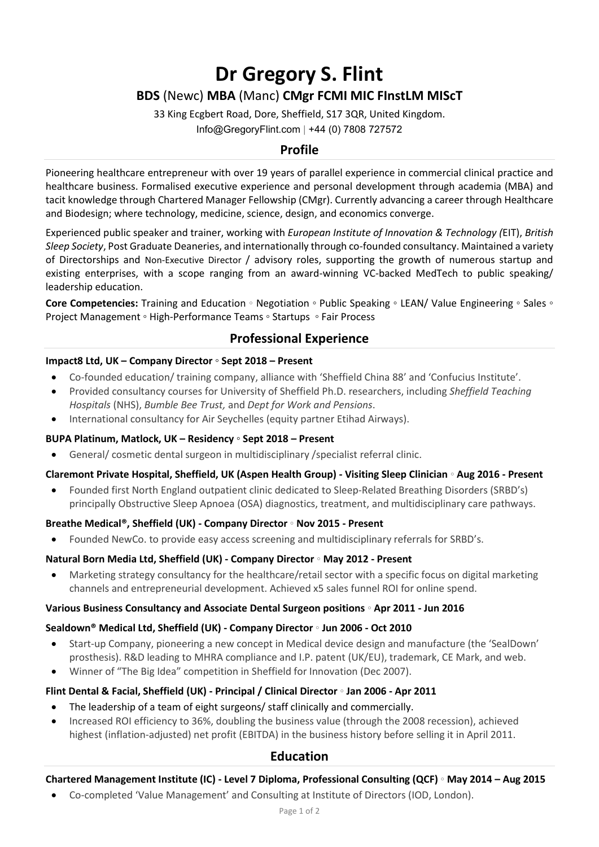# **Dr Gregory S. Flint**

# **BDS** (Newc) **MBA** (Manc) **CMgr FCMI MIC FInstLM MIScT**

33 King Ecgbert Road, Dore, Sheffield, S17 3QR, United Kingdom. Info@GregoryFlint.com | +44 (0) 7808 727572

## **Profile**

Pioneering healthcare entrepreneur with over 19 years of parallel experience in commercial clinical practice and healthcare business. Formalised executive experience and personal development through academia (MBA) and tacit knowledge through Chartered Manager Fellowship (CMgr). Currently advancing a career through Healthcare and Biodesign; where technology, medicine, science, design, and economics converge.

Experienced public speaker and trainer, working with *European Institute of Innovation & Technology (*EIT), *British Sleep Society*, Post Graduate Deaneries, and internationally through co-founded consultancy. Maintained a variety of Directorships and Non-Executive Director / advisory roles, supporting the growth of numerous startup and existing enterprises, with a scope ranging from an award-winning VC-backed MedTech to public speaking/ leadership education.

**Core Competencies:** Training and Education ◦ Negotiation ◦ Public Speaking ◦ LEAN/ Value Engineering ◦ Sales ◦ Project Management ◦ High-Performance Teams ◦ Startups ◦ Fair Process

## **Professional Experience**

#### **Impact8 Ltd, UK – Company Director ◦ Sept 2018 – Present**

- Co-founded education/ training company, alliance with 'Sheffield China 88' and 'Confucius Institute'.
- Provided consultancy courses for University of Sheffield Ph.D. researchers, including *Sheffield Teaching Hospitals* (NHS), *Bumble Bee Trust,* and *Dept for Work and Pensions*.
- International consultancy for Air Seychelles (equity partner Etihad Airways).

#### **BUPA Platinum, Matlock, UK – Residency ◦ Sept 2018 – Present**

General/ cosmetic dental surgeon in multidisciplinary / specialist referral clinic.

## **Claremont Private Hospital, Sheffield, UK (Aspen Health Group) - Visiting Sleep Clinician ◦ Aug 2016 - Present**

• Founded first North England outpatient clinic dedicated to Sleep-Related Breathing Disorders (SRBD's) principally Obstructive Sleep Apnoea (OSA) diagnostics, treatment, and multidisciplinary care pathways.

#### **Breathe Medical®, Sheffield (UK) - Company Director ◦ Nov 2015 - Present**

• Founded NewCo. to provide easy access screening and multidisciplinary referrals for SRBD's.

#### **Natural Born Media Ltd, Sheffield (UK) - Company Director ◦ May 2012 - Present**

• Marketing strategy consultancy for the healthcare/retail sector with a specific focus on digital marketing channels and entrepreneurial development. Achieved x5 sales funnel ROI for online spend.

#### **Various Business Consultancy and Associate Dental Surgeon positions ◦ Apr 2011 - Jun 2016**

#### **Sealdown® Medical Ltd, Sheffield (UK) - Company Director ◦ Jun 2006 - Oct 2010**

- Start-up Company, pioneering a new concept in Medical device design and manufacture (the 'SealDown' prosthesis). R&D leading to MHRA compliance and I.P. patent (UK/EU), trademark, CE Mark, and web.
- Winner of "The Big Idea" competition in Sheffield for Innovation (Dec 2007).

## **Flint Dental & Facial, Sheffield (UK) - Principal / Clinical Director ◦ Jan 2006 - Apr 2011**

- The leadership of a team of eight surgeons/ staff clinically and commercially.
- Increased ROI efficiency to 36%, doubling the business value (through the 2008 recession), achieved highest (inflation-adjusted) net profit (EBITDA) in the business history before selling it in April 2011.

## **Education**

## **Chartered Management Institute (IC) - Level 7 Diploma, Professional Consulting (QCF) ◦ May 2014 – Aug 2015**

• Co-completed 'Value Management' and Consulting at Institute of Directors (IOD, London).